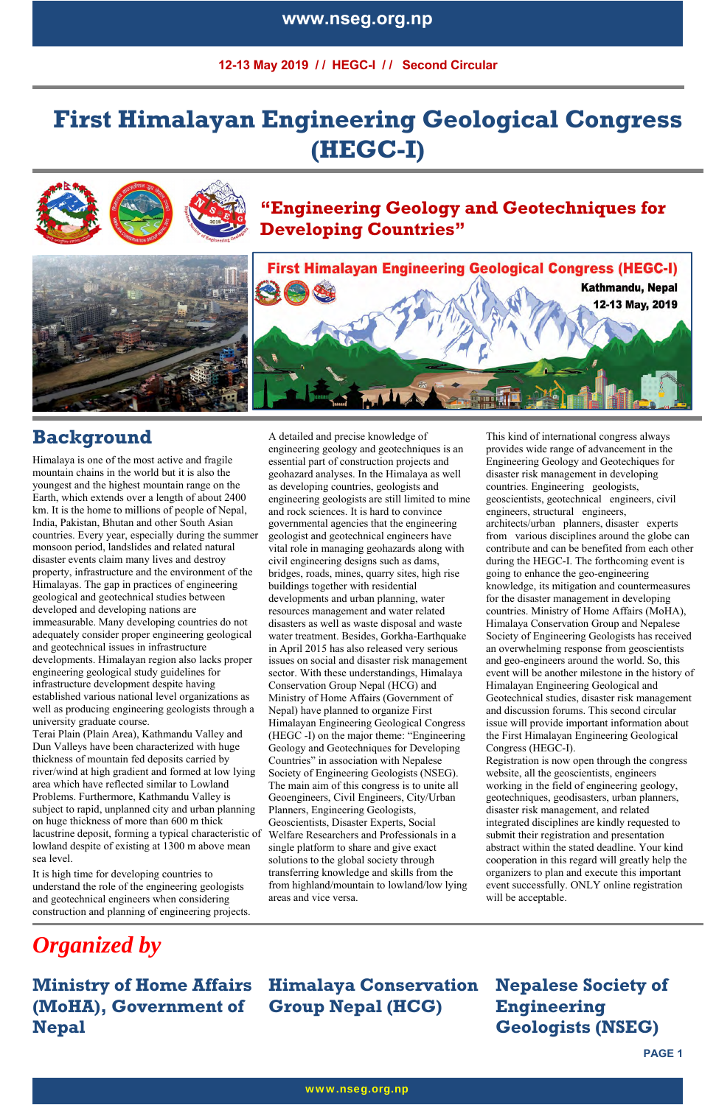**12-13 May 2019 / / HEGC-I / / Second Circular** 

**PAGE 1** 

### **www.nseg.org.np**

# **First Himalayan Engineering Geological Congress (HEGC-I)**







# **First Himalayan Engineering Geological Congress (HEGC-I)** Kathmandu, Nepal 12-13 May, 2019

### **Background**

Himalaya is one of the most active and fragile mountain chains in the world but it is also the youngest and the highest mountain range on the Earth, which extends over a length of about 2400 km. It is the home to millions of people of Nepal, India, Pakistan, Bhutan and other South Asian countries. Every year, especially during the summer monsoon period, landslides and related natural disaster events claim many lives and destroy property, infrastructure and the environment of the Himalayas. The gap in practices of engineering geological and geotechnical studies between developed and developing nations are immeasurable. Many developing countries do not adequately consider proper engineering geological and geotechnical issues in infrastructure developments. Himalayan region also lacks proper engineering geological study guidelines for infrastructure development despite having established various national level organizations as well as producing engineering geologists through a university graduate course.

Terai Plain (Plain Area), Kathmandu Valley and Dun Valleys have been characterized with huge thickness of mountain fed deposits carried by river/wind at high gradient and formed at low lying area which have reflected similar to Lowland Problems. Furthermore, Kathmandu Valley is subject to rapid, unplanned city and urban planning on huge thickness of more than 600 m thick lacustrine deposit, forming a typical characteristic of lowland despite of existing at 1300 m above mean sea level.

It is high time for developing countries to understand the role of the engineering geologists and geotechnical engineers when considering construction and planning of engineering projects.

A detailed and precise knowledge of engineering geology and geotechniques is an essential part of construction projects and geohazard analyses. In the Himalaya as well as developing countries, geologists and engineering geologists are still limited to mine and rock sciences. It is hard to convince governmental agencies that the engineering geologist and geotechnical engineers have vital role in managing geohazards along with civil engineering designs such as dams, bridges, roads, mines, quarry sites, high rise buildings together with residential developments and urban planning, water resources management and water related disasters as well as waste disposal and waste water treatment. Besides, Gorkha-Earthquake in April 2015 has also released very serious issues on social and disaster risk management sector. With these understandings, Himalaya Conservation Group Nepal (HCG) and Ministry of Home Affairs (Government of Nepal) have planned to organize First Himalayan Engineering Geological Congress (HEGC -I) on the major theme: "Engineering Geology and Geotechniques for Developing Countries" in association with Nepalese Society of Engineering Geologists (NSEG). The main aim of this congress is to unite all Geoengineers, Civil Engineers, City/Urban Planners, Engineering Geologists, Geoscientists, Disaster Experts, Social Welfare Researchers and Professionals in a single platform to share and give exact solutions to the global society through transferring knowledge and skills from the from highland/mountain to lowland/low lying areas and vice versa.

 This kind of international congress always provides wide range of advancement in the Engineering Geology and Geotechiques for disaster risk management in developing countries. Engineering geologists, geoscientists, geotechnical engineers, civil engineers, structural engineers, architects/urban planners, disaster experts from various disciplines around the globe can contribute and can be benefited from each other during the HEGC-I. The forthcoming event is going to enhance the geo-engineering knowledge, its mitigation and countermeasures for the disaster management in developing countries. Ministry of Home Affairs (MoHA), Himalaya Conservation Group and Nepalese Society of Engineering Geologists has received an overwhelming response from geoscientists and geo-engineers around the world. So, this event will be another milestone in the history of Himalayan Engineering Geological and Geotechnical studies, disaster risk management and discussion forums. This second circular issue will provide important information about the First Himalayan Engineering Geological Congress (HEGC-I).

Registration is now open through the congress website, all the geoscientists, engineers working in the field of engineering geology, geotechniques, geodisasters, urban planners, disaster risk management, and related integrated disciplines are kindly requested to submit their registration and presentation abstract within the stated deadline. Your kind cooperation in this regard will greatly help the organizers to plan and execute this important event successfully. ONLY online registration will be acceptable.

*Organized by* 

#### **Ministry of Home Affairs (MoHA), Government of Nepal Himalaya Conservation Group Nepal (HCG) Nepalese Society of Engineering Geologists (NSEG)**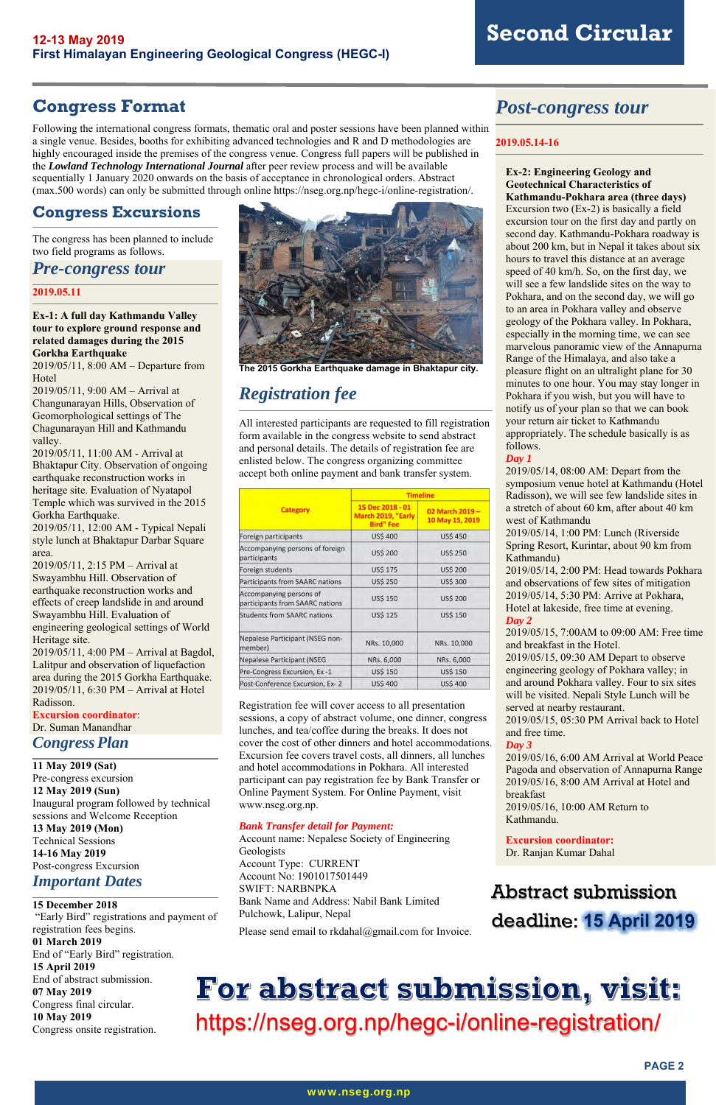**PAGE 2** 

### **Congress Format**

Following the international congress formats, thematic oral and poster sessions have been planned within a single venue. Besides, booths for exhibiting advanced technologies and R and D methodologies are highly encouraged inside the premises of the congress venue. Congress full papers will be published in the *Lowland Technology International Journal* after peer review process and will be available sequentially 1 January 2020 onwards on the basis of acceptance in chronological orders. Abstract (max.500 words) can only be submitted through online https://nseg.org.np/hegc-i/online-registration/.

### **Congress Excursions**

The congress has been planned to include two field programs as follows.

*Pre-congress tour*

### **2019.05.11**

**Ex-1: A full day Kathmandu Valley tour to explore ground response and related damages during the 2015 Gorkha Earthquake**

2019/05/11, 8:00 AM – Departure from Hotel

2019/05/11, 9:00 AM – Arrival at Changunarayan Hills, Observation of Geomorphological settings of The Chagunarayan Hill and Kathmandu valley.

2019/05/11, 11:00 AM - Arrival at Bhaktapur City. Observation of ongoing earthquake reconstruction works in heritage site. Evaluation of Nyatapol Temple which was survived in the 2015 Gorkha Earthquake.

2019/05/11, 12:00 AM - Typical Nepali style lunch at Bhaktapur Darbar Square area.

2019/05/11, 2:15 PM – Arrival at Swayambhu Hill. Observation of earthquake reconstruction works and effects of creep landslide in and around Swayambhu Hill. Evaluation of engineering geological settings of World Heritage site.

2019/05/11, 4:00 PM – Arrival at Bagdol, Lalitpur and observation of liquefaction area during the 2015 Gorkha Earthquake. 2019/05/11, 6:30 PM – Arrival at Hotel Radisson.

**Excursion coordinator**: Dr. Suman Manandhar

### *Congress Plan*

**11 May 2019 (Sat)**  Pre-congress excursion **12 May 2019 (Sun)**  Inaugural program followed by technical sessions and Welcome Reception **13 May 2019 (Mon)**  Technical Sessions **14-16 May 2019**  Post-congress Excursion *Important Dates* 

#### **15 December 2018**

 "Early Bird" registrations and payment of registration fees begins.

### **01 March 2019**

End of "Early Bird" registration.

### **15 April 2019**

End of abstract submission.

#### **07 May 2019**

Congress final circular. **10 May 2019** 

Congress onsite registration.



**The 2015 Gorkha Earthquake damage in Bhaktapur city.** 

### *Registration fee*

All interested participants are requested to fill registration form available in the congress website to send abstract and personal details. The details of registration fee are enlisted below. The congress organizing committee accept both online payment and bank transfer system.

|                                                            | <b>Timeline</b>                                            |                                    |
|------------------------------------------------------------|------------------------------------------------------------|------------------------------------|
| <b>Category</b>                                            | 15 Dec 2018 - 01<br>March 2019, "Early<br><b>Bird" Fee</b> | 02 March 2019 -<br>10 May 15, 2019 |
| Foreign participants                                       | <b>US\$ 400</b>                                            | <b>USS 450</b>                     |
| Accompanying persons of foreign<br>participants            | <b>US\$ 200</b>                                            | <b>US\$ 250</b>                    |
| Foreign students                                           | <b>US\$ 175</b>                                            | <b>US\$ 200</b>                    |
| Participants from SAARC nations                            | <b>US\$ 250</b>                                            | <b>US\$ 300</b>                    |
| Accompanying persons of<br>participants from SAARC nations | <b>US\$ 150</b>                                            | <b>US\$ 200</b>                    |
| <b>Students from SAARC nations</b>                         | <b>US\$ 125</b>                                            | <b>US\$ 150</b>                    |
| Nepalese Participant (NSEG non-<br>member)                 | NRs. 10,000                                                | NRs. 10,000                        |
| <b>Nepalese Participant (NSEG</b>                          | NRs. 6,000                                                 | NRs. 6,000                         |
| Pre-Congress Excursion, Ex-1                               | <b>US\$ 150</b>                                            | <b>US\$ 150</b>                    |
| Post-Conference Excursion, Ex-2                            | <b>US\$ 400</b>                                            | <b>US\$ 400</b>                    |

# For abstract submission, visit: https://nseg.org.np/hegc-i/online-registration/

Registration fee will cover access to all presentation sessions, a copy of abstract volume, one dinner, congress lunches, and tea/coffee during the breaks. It does not cover the cost of other dinners and hotel accommodations. Excursion fee covers travel costs, all dinners, all lunches and hotel accommodations in Pokhara. All interested participant can pay registration fee by Bank Transfer or Online Payment System. For Online Payment, visit www.nseg.org.np.

#### *Bank Transfer detail for Payment:*

Account name: Nepalese Society of Engineering Geologists Account Type: CURRENT Account No: 1901017501449 SWIFT: NARBNPKA Bank Name and Address: Nabil Bank Limited Pulchowk, Lalipur, Nepal

Please send email to rkdahal@gmail.com for Invoice.

### *Post-congress tour*

### **2019.05.14-16**

### **Ex-2: Engineering Geology and Geotechnical Characteristics of Kathmandu-Pokhara area (three days)**

Excursion two (Ex-2) is basically a field excursion tour on the first day and partly on second day. Kathmandu-Pokhara roadway is about 200 km, but in Nepal it takes about six hours to travel this distance at an average speed of 40 km/h. So, on the first day, we will see a few landslide sites on the way to Pokhara, and on the second day, we will go to an area in Pokhara valley and observe geology of the Pokhara valley. In Pokhara, especially in the morning time, we can see marvelous panoramic view of the Annapurna Range of the Himalaya, and also take a pleasure flight on an ultralight plane for 30 minutes to one hour. You may stay longer in Pokhara if you wish, but you will have to notify us of your plan so that we can book your return air ticket to Kathmandu appropriately. The schedule basically is as follows.

### *Day 1*

2019/05/14, 08:00 AM: Depart from the symposium venue hotel at Kathmandu (Hotel Radisson), we will see few landslide sites in a stretch of about 60 km, after about 40 km west of Kathmandu

2019/05/14, 1:00 PM: Lunch (Riverside Spring Resort, Kurintar, about 90 km from Kathmandu)

2019/05/14, 2:00 PM: Head towards Pokhara and observations of few sites of mitigation 2019/05/14, 5:30 PM: Arrive at Pokhara, Hotel at lakeside, free time at evening. *Day 2*

2019/05/15, 7:00AM to 09:00 AM: Free time and breakfast in the Hotel.

2019/05/15, 09:30 AM Depart to observe engineering geology of Pokhara valley; in and around Pokhara valley. Four to six sites will be visited. Nepali Style Lunch will be served at nearby restaurant.

2019/05/15, 05:30 PM Arrival back to Hotel and free time.

#### *Day 3*

2019/05/16, 6:00 AM Arrival at World Peace Pagoda and observation of Annapurna Range 2019/05/16, 8:00 AM Arrival at Hotel and breakfast

2019/05/16, 10:00 AM Return to

### Kathmandu.

#### **Excursion coordinator:** Dr. Ranjan Kumar Dahal

# Abstract submission deadline: **15 April 2019**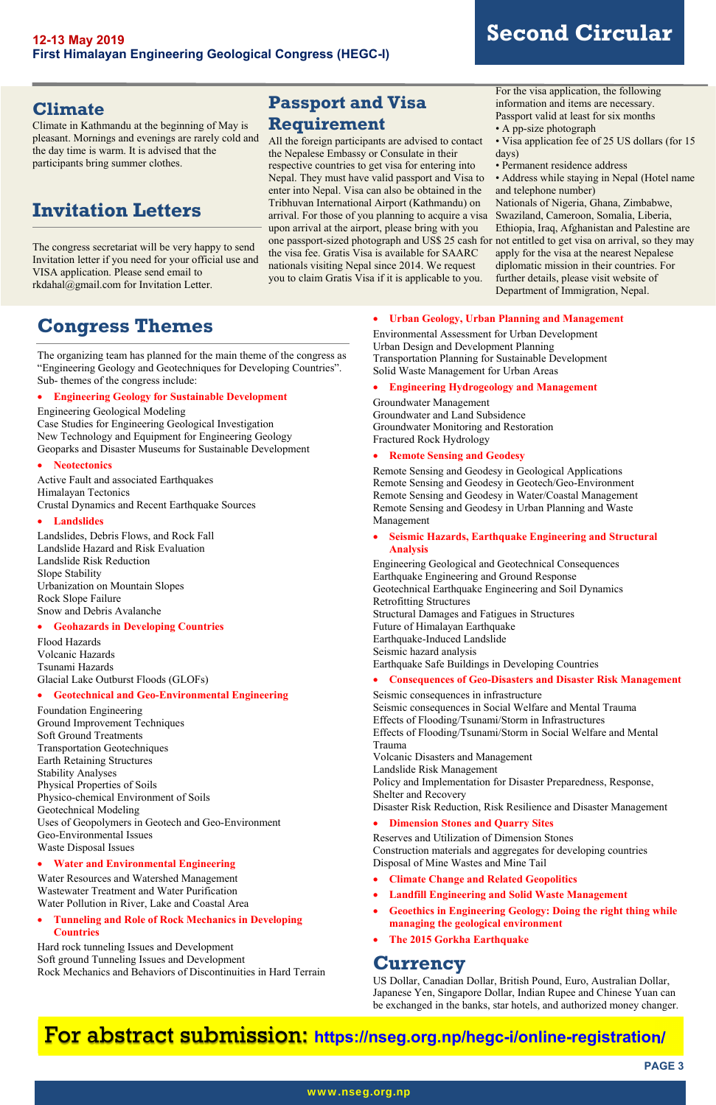### **PAGE 3**

#### www.nseg.org.np

### **Climate**

Climate in Kathmandu at the beginning of May is pleasant. Mornings and evenings are rarely cold and the day time is warm. It is advised that the participants bring summer clothes.

### **Invitation Letters**

The congress secretariat will be very happy to send Invitation letter if you need for your official use and VISA application. Please send email to rkdahal@gmail.com for Invitation Letter.

### **Passport and Visa Requirement**

All the foreign participants are advised to contact the Nepalese Embassy or Consulate in their respective countries to get visa for entering into Nepal. They must have valid passport and Visa to enter into Nepal. Visa can also be obtained in the Tribhuvan International Airport (Kathmandu) on arrival. For those of you planning to acquire a visa upon arrival at the airport, please bring with you one passport-sized photograph and US\$ 25 cash for the visa fee. Gratis Visa is available for SAARC nationals visiting Nepal since 2014. We request you to claim Gratis Visa if it is applicable to you.

For the visa application, the following information and items are necessary. Passport valid at least for six months

- A pp-size photograph
- Visa application fee of 25 US dollars (for 15 days)
- Permanent residence address

• Address while staying in Nepal (Hotel name and telephone number)

Nationals of Nigeria, Ghana, Zimbabwe, Swaziland, Cameroon, Somalia, Liberia, Ethiopia, Iraq, Afghanistan and Palestine are not entitled to get visa on arrival, so they may apply for the visa at the nearest Nepalese diplomatic mission in their countries. For further details, please visit website of Department of Immigration, Nepal.

### **Congress Themes**

The organizing team has planned for the main theme of the congress as "Engineering Geology and Geotechniques for Developing Countries". Sub- themes of the congress include:

### **Engineering Geology for Sustainable Development**

Engineering Geological Modeling Case Studies for Engineering Geological Investigation New Technology and Equipment for Engineering Geology Geoparks and Disaster Museums for Sustainable Development

### **Neotectonics**

Active Fault and associated Earthquakes Himalayan Tectonics Crustal Dynamics and Recent Earthquake Sources

### **Landslides**

Landslides, Debris Flows, and Rock Fall Landslide Hazard and Risk Evaluation Landslide Risk Reduction Slope Stability Urbanization on Mountain Slopes Rock Slope Failure Snow and Debris Avalanche

### **Geohazards in Developing Countries**

Flood Hazards Volcanic Hazards Tsunami Hazards Glacial Lake Outburst Floods (GLOFs)

### **Geotechnical and Geo-Environmental Engineering**

Foundation Engineering Ground Improvement Techniques Soft Ground Treatments Transportation Geotechniques Earth Retaining Structures Stability Analyses Physical Properties of Soils Physico-chemical Environment of Soils Geotechnical Modeling Uses of Geopolymers in Geotech and Geo-Environment Geo-Environmental Issues Waste Disposal Issues

#### **Water and Environmental Engineering**

Water Resources and Watershed Management Wastewater Treatment and Water Purification Water Pollution in River, Lake and Coastal Area

 **Tunneling and Role of Rock Mechanics in Developing Countries** 

Hard rock tunneling Issues and Development Soft ground Tunneling Issues and Development Rock Mechanics and Behaviors of Discontinuities in Hard Terrain

### **Urban Geology, Urban Planning and Management**

Environmental Assessment for Urban Development Urban Design and Development Planning Transportation Planning for Sustainable Development Solid Waste Management for Urban Areas

### **Engineering Hydrogeology and Management**

Groundwater Management Groundwater and Land Subsidence Groundwater Monitoring and Restoration Fractured Rock Hydrology

### **Remote Sensing and Geodesy**

Remote Sensing and Geodesy in Geological Applications Remote Sensing and Geodesy in Geotech/Geo-Environment Remote Sensing and Geodesy in Water/Coastal Management Remote Sensing and Geodesy in Urban Planning and Waste Management

### **Seismic Hazards, Earthquake Engineering and Structural Analysis**

Engineering Geological and Geotechnical Consequences Earthquake Engineering and Ground Response Geotechnical Earthquake Engineering and Soil Dynamics Retrofitting Structures Structural Damages and Fatigues in Structures Future of Himalayan Earthquake Earthquake-Induced Landslide Seismic hazard analysis Earthquake Safe Buildings in Developing Countries

### **Consequences of Geo-Disasters and Disaster Risk Management**

Seismic consequences in infrastructure Seismic consequences in Social Welfare and Mental Trauma Effects of Flooding/Tsunami/Storm in Infrastructures Effects of Flooding/Tsunami/Storm in Social Welfare and Mental Trauma Volcanic Disasters and Management Landslide Risk Management Policy and Implementation for Disaster Preparedness, Response, Shelter and Recovery Disaster Risk Reduction, Risk Resilience and Disaster Management

#### **Dimension Stones and Quarry Sites**

Reserves and Utilization of Dimension Stones Construction materials and aggregates for developing countries Disposal of Mine Wastes and Mine Tail

- **Climate Change and Related Geopolitics**
- **Landfill Engineering and Solid Waste Management**
- **Geoethics in Engineering Geology: Doing the right thing while managing the geological environment**
- **The 2015 Gorkha Earthquake**

### **Currency**

US Dollar, Canadian Dollar, British Pound, Euro, Australian Dollar, Japanese Yen, Singapore Dollar, Indian Rupee and Chinese Yuan can be exchanged in the banks, star hotels, and authorized money changer.

### For abstract submission: **https://nseg.org.np/hegc-i/online-registration/**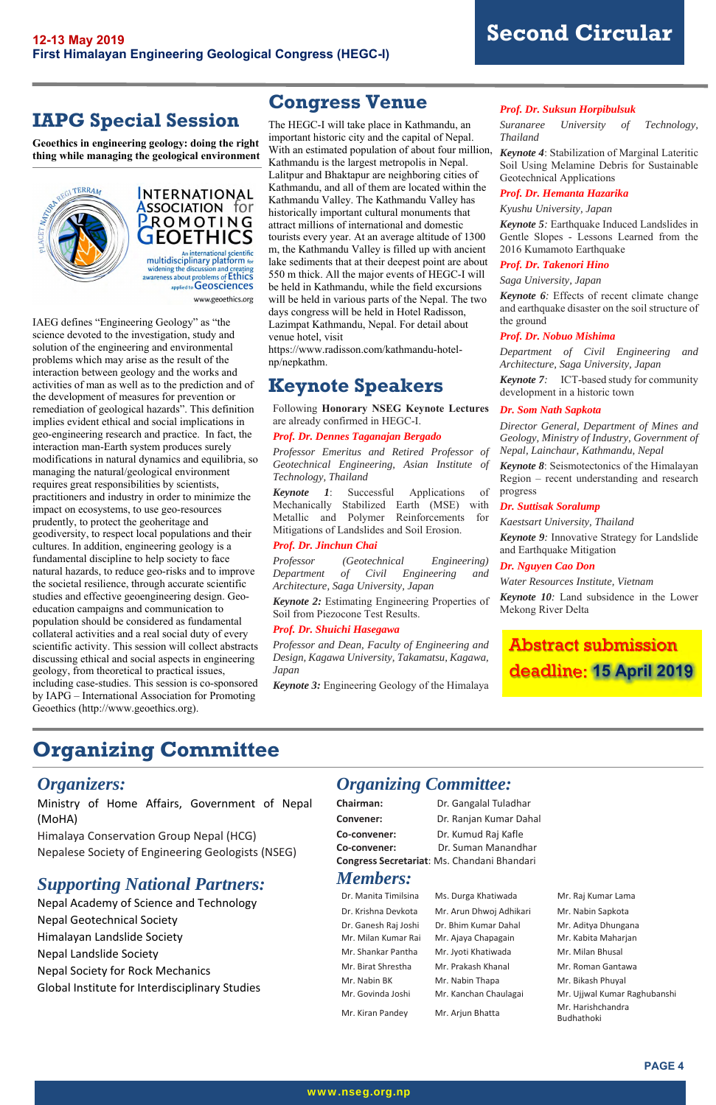

### **IAPG Special Session**

**Geoethics in engineering geology: doing the right thing while managing the geological environment**





www.geoethics.org

IAEG defines "Engineering Geology" as "the science devoted to the investigation, study and solution of the engineering and environmental problems which may arise as the result of the interaction between geology and the works and activities of man as well as to the prediction and of the development of measures for prevention or remediation of geological hazards". This definition implies evident ethical and social implications in geo-engineering research and practice. In fact, the interaction man-Earth system produces surely modifications in natural dynamics and equilibria, so managing the natural/geological environment requires great responsibilities by scientists, practitioners and industry in order to minimize the impact on ecosystems, to use geo-resources prudently, to protect the geoheritage and geodiversity, to respect local populations and their cultures. In addition, engineering geology is a fundamental discipline to help society to face natural hazards, to reduce geo-risks and to improve the societal resilience, through accurate scientific studies and effective geoengineering design. Geoeducation campaigns and communication to population should be considered as fundamental collateral activities and a real social duty of every scientific activity. This session will collect abstracts discussing ethical and social aspects in engineering geology, from theoretical to practical issues, including case-studies. This session is co-sponsored by IAPG – International Association for Promoting Geoethics (http://www.geoethics.org).

### **Congress Venue**

The HEGC-I will take place in Kathmandu, an important historic city and the capital of Nepal. With an estimated population of about four million, Kathmandu is the largest metropolis in Nepal. Lalitpur and Bhaktapur are neighboring cities of Kathmandu, and all of them are located within the Kathmandu Valley. The Kathmandu Valley has historically important cultural monuments that attract millions of international and domestic tourists every year. At an average altitude of 1300 m, the Kathmandu Valley is filled up with ancient lake sediments that at their deepest point are about 550 m thick. All the major events of HEGC-I will be held in Kathmandu, while the field excursions will be held in various parts of the Nepal. The two days congress will be held in Hotel Radisson, Lazimpat Kathmandu, Nepal. For detail about venue hotel, visit

https://www.radisson.com/kathmandu-hotelnp/nepkathm.

### **Keynote Speakers**

Following **Honorary NSEG Keynote Lectures** are already confirmed in HEGC-I.

#### *Prof. Dr. Dennes Taganajan Bergado*

*Professor Emeritus and Retired Professor of Geotechnical Engineering, Asian Institute of Technology, Thailand* 

*Keynote 1*: Successful Applications of Mechanically Stabilized Earth (MSE) with Metallic and Polymer Reinforcements for Mitigations of Landslides and Soil Erosion.

### *Prof. Dr. Jinchun Chai*

*Professor (Geotechnical Engineering) Department of Civil Engineering and Architecture, Saga University, Japan* 

*Keynote 2:* Estimating Engineering Properties of Soil from Piezocone Test Results.

#### *Prof. Dr. Shuichi Hasegawa*

*Professor and Dean, Faculty of Engineering and Design, Kagawa University, Takamatsu, Kagawa, Japan* 

*Keynote 3:* Engineering Geology of the Himalaya

#### *Prof. Dr. Suksun Horpibulsuk*

*Suranaree University of Technology, Thailand* 

*Keynote 4*: Stabilization of Marginal Lateritic Soil Using Melamine Debris for Sustainable Geotechnical Applications

#### *Prof. Dr. Hemanta Hazarika*

*Kyushu University, Japan* 

*Keynote 5:* Earthquake Induced Landslides in Gentle Slopes - Lessons Learned from the 2016 Kumamoto Earthquake

#### *Prof. Dr. Takenori Hino*

*Saga University, Japan* 

*Keynote 6:* Effects of recent climate change and earthquake disaster on the soil structure of the ground

### *Prof. Dr. Nobuo Mishima*

*Department of Civil Engineering and Architecture, Saga University, Japan* 

*Keynote 7:* ICT-based study for community development in a historic town

#### *Dr. Som Nath Sapkota*

*Director General, Department of Mines and Geology, Ministry of Industry, Government of Nepal, Lainchaur, Kathmandu, Nepal* 

*Keynote 8*: Seismotectonics of the Himalayan Region – recent understanding and research progress

#### *Dr. Suttisak Soralump*

*Kaestsart University, Thailand* 

*Keynote 9:* Innovative Strategy for Landslide and Earthquake Mitigation

#### *Dr. Nguyen Cao Don*

*Water Resources Institute, Vietnam* 

*Keynote 10:* Land subsidence in the Lower Mekong River Delta

## **Organizing Committee**

### *Organizers:*

Ministry of Home Affairs, Government of Nepal

### (MoHA)

Himalaya Conservation Group Nepal (HCG) Nepalese Society of Engineering Geologists (NSEG)

### *Supporting National Partners:*

Nepal Academy of Science and Technology Nepal Geotechnical Society Himalayan Landslide Society Nepal Landslide Society Nepal Society for Rock Mechanics Global Institute for Interdisciplinary Studies

### *Organizing Committee:*

**Chairman:**  Dr. Gangalal Tuladhar

| Convener:                                   | Dr. Ranjan Kumar Dahal |  |
|---------------------------------------------|------------------------|--|
| Co-convener:                                | Dr. Kumud Raj Kafle    |  |
| Co-convener:                                | Dr. Suman Manandhar    |  |
| Congress Secretariat: Ms. Chandani Bhandari |                        |  |
| <b>Members:</b>                             |                        |  |

| Dr. Manita Timilsina | Ms. Durga Khatiwada     | Mr. Raj Kumar Lama                     |
|----------------------|-------------------------|----------------------------------------|
| Dr. Krishna Devkota  | Mr. Arun Dhwoj Adhikari | Mr. Nabin Sapkota                      |
| Dr. Ganesh Raj Joshi | Dr. Bhim Kumar Dahal    | Mr. Aditya Dhungana                    |
| Mr. Milan Kumar Rai  | Mr. Ajaya Chapagain     | Mr. Kabita Maharjan                    |
| Mr. Shankar Pantha   | Mr. Jyoti Khatiwada     | Mr. Milan Bhusal                       |
| Mr. Birat Shrestha   | Mr. Prakash Khanal      | Mr. Roman Gantawa                      |
| Mr. Nabin BK         | Mr. Nabin Thapa         | Mr. Bikash Phuyal                      |
| Mr. Govinda Joshi    | Mr. Kanchan Chaulagai   | Mr. Ujjwal Kumar Raghubanshi           |
| Mr. Kiran Pandey     | Mr. Ariun Bhatta        | Mr. Harishchandra<br>:،اہ ما±مطالہ ۱۰۰ |

### Abstract submission deadline: **15 April 2019**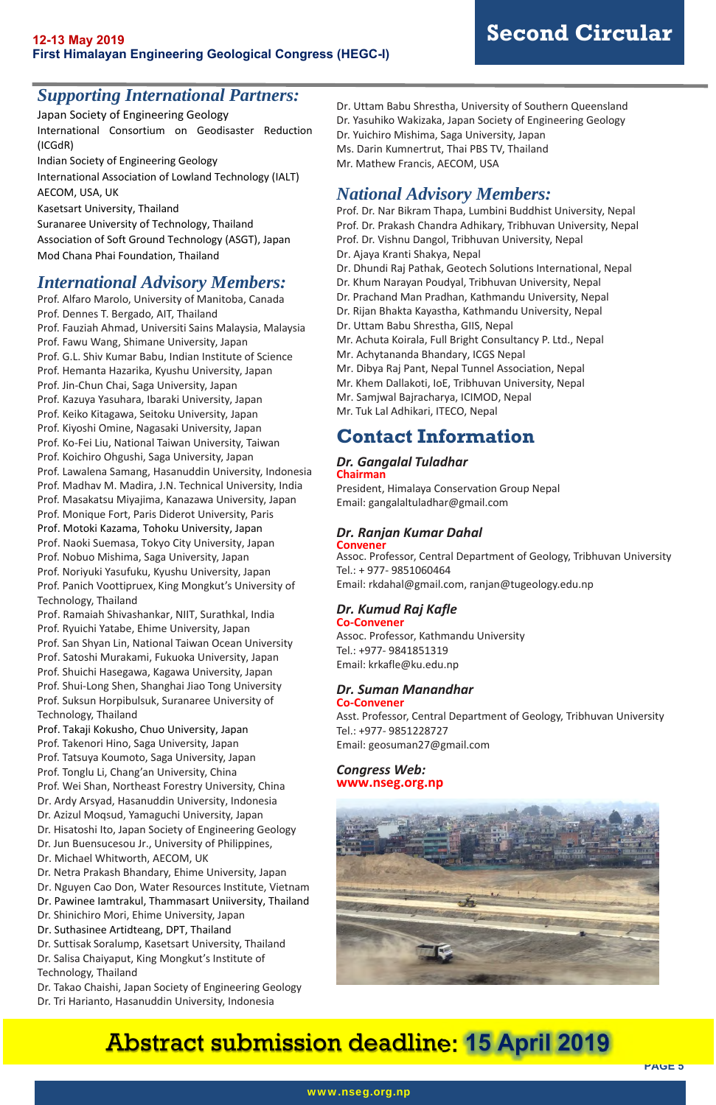**PAGE 5** 

### *Supporting International Partners:*

Japan Society of Engineering Geology International Consortium on Geodisaster Reduction (ICGdR)

Indian Society of Engineering Geology

International Association of Lowland Technology (IALT) AECOM, USA, UK

Kasetsart University, Thailand

Suranaree University of Technology, Thailand Association of Soft Ground Technology (ASGT), Japan Mod Chana Phai Foundation, Thailand

### *International Advisory Members:*

Prof. Alfaro Marolo, University of Manitoba, Canada Prof. Dennes T. Bergado, AIT, Thailand Prof. Fauziah Ahmad, Universiti Sains Malaysia, Malaysia Prof. Fawu Wang, Shimane University, Japan Prof. G.L. Shiv Kumar Babu, Indian Institute of Science Prof. Hemanta Hazarika, Kyushu University, Japan Prof. Jin‐Chun Chai, Saga University, Japan Prof. Kazuya Yasuhara, Ibaraki University, Japan Prof. Keiko Kitagawa, Seitoku University, Japan Prof. Kiyoshi Omine, Nagasaki University, Japan Prof. Ko‐Fei Liu, National Taiwan University, Taiwan Prof. Koichiro Ohgushi, Saga University, Japan Prof. Lawalena Samang, Hasanuddin University, Indonesia Prof. Madhav M. Madira, J.N. Technical University, India Prof. Masakatsu Miyajima, Kanazawa University, Japan Prof. Monique Fort, Paris Diderot University, Paris Prof. Motoki Kazama, Tohoku University, Japan Prof. Naoki Suemasa, Tokyo City University, Japan Prof. Nobuo Mishima, Saga University, Japan Prof. Noriyuki Yasufuku, Kyushu University, Japan Prof. Panich Voottipruex, King Mongkut's University of Technology, Thailand Prof. Ramaiah Shivashankar, NIIT, Surathkal, India Prof. Ryuichi Yatabe, Ehime University, Japan Prof. San Shyan Lin, National Taiwan Ocean University Prof. Satoshi Murakami, Fukuoka University, Japan Prof. Shuichi Hasegawa, Kagawa University, Japan Prof. Shui‐Long Shen, Shanghai Jiao Tong University Prof. Suksun Horpibulsuk, Suranaree University of Technology, Thailand Prof. Takaji Kokusho, Chuo University, Japan Prof. Takenori Hino, Saga University, Japan Prof. Tatsuya Koumoto, Saga University, Japan Prof. Tonglu Li, Chang'an University, China Prof. Wei Shan, Northeast Forestry University, China Dr. Ardy Arsyad, Hasanuddin University, Indonesia Dr. Azizul Moqsud, Yamaguchi University, Japan Dr. Hisatoshi Ito, Japan Society of Engineering Geology Dr. Jun Buensucesou Jr., University of Philippines, Dr. Michael Whitworth, AECOM, UK Dr. Netra Prakash Bhandary, Ehime University, Japan Dr. Nguyen Cao Don, Water Resources Institute, Vietnam Dr. Pawinee Iamtrakul, Thammasart Uniiversity, Thailand Dr. Shinichiro Mori, Ehime University, Japan Dr. Suthasinee Artidteang, DPT, Thailand Dr. Suttisak Soralump, Kasetsart University, Thailand Dr. Salisa Chaiyaput, King Mongkut's Institute of Technology, Thailand Dr. Takao Chaishi, Japan Society of Engineering Geology

Dr. Tri Harianto, Hasanuddin University, Indonesia

Dr. Uttam Babu Shrestha, University of Southern Queensland Dr. Yasuhiko Wakizaka, Japan Society of Engineering Geology Dr. Yuichiro Mishima, Saga University, Japan Ms. Darin Kumnertrut, Thai PBS TV, Thailand Mr. Mathew Francis, AECOM, USA

### *National Advisory Members:*

Prof. Dr. Nar Bikram Thapa, Lumbini Buddhist University, Nepal Prof. Dr. Prakash Chandra Adhikary, Tribhuvan University, Nepal Prof. Dr. Vishnu Dangol, Tribhuvan University, Nepal Dr. Ajaya Kranti Shakya, Nepal Dr. Dhundi Raj Pathak, Geotech Solutions International, Nepal Dr. Khum Narayan Poudyal, Tribhuvan University, Nepal Dr. Prachand Man Pradhan, Kathmandu University, Nepal Dr. Rijan Bhakta Kayastha, Kathmandu University, Nepal Dr. Uttam Babu Shrestha, GIIS, Nepal Mr. Achuta Koirala, Full Bright Consultancy P. Ltd., Nepal Mr. Achytananda Bhandary, ICGS Nepal Mr. Dibya Raj Pant, Nepal Tunnel Association, Nepal Mr. Khem Dallakoti, IoE, Tribhuvan University, Nepal Mr. Samjwal Bajracharya, ICIMOD, Nepal Mr. Tuk Lal Adhikari, ITECO, Nepal

### **Contact Information**

### *Dr. Gangalal Tuladhar* **Chairman**

President, Himalaya Conservation Group Nepal Email: gangalaltuladhar@gmail.com

### *Dr. Ranjan Kumar Dahal*  **Convener**

Assoc. Professor, Central Department of Geology, Tribhuvan University Tel.: + 977‐ 9851060464 Email: rkdahal@gmail.com, ranjan@tugeology.edu.np

### *Dr. Kumud Raj Kafle*

**Co‐Convener**  Assoc. Professor, Kathmandu University Tel.: +977‐ 9841851319 Email: krkafle@ku.edu.np

### *Dr. Suman Manandhar*  **Co‐Convener**

Asst. Professor, Central Department of Geology, Tribhuvan University Tel.: +977‐ 9851228727 Email: geosuman27@gmail.com

### *Congress Web:*  **www.nseg.org.np**



# Abstract submission deadline: **15 April 2019**